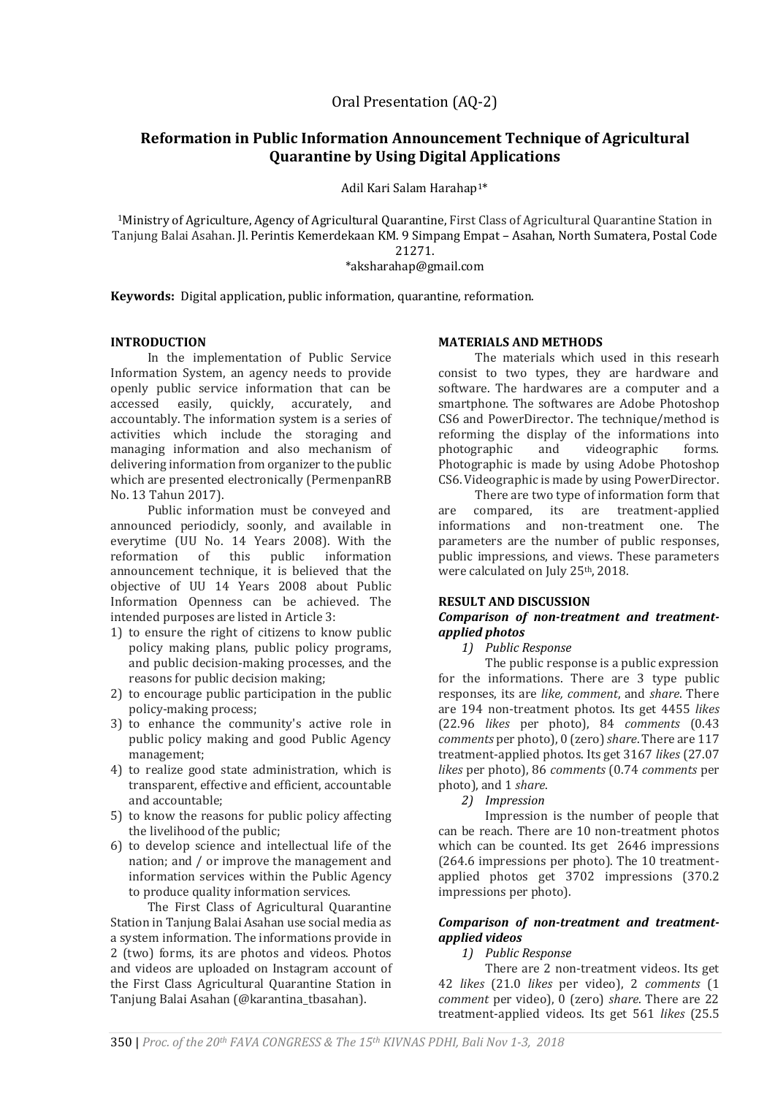# **Reformation in Public Information Announcement Technique of Agricultural Quarantine by Using Digital Applications**

Adil Kari Salam Harahap1\*

<sup>1</sup>Ministry of Agriculture, Agency of Agricultural Quarantine, First Class of Agricultural Quarantine Station in Tanjung Balai Asahan. Jl. Perintis Kemerdekaan KM. 9 Simpang Empat – Asahan, North Sumatera, Postal Code 21271.

\*aksharahap@gmail.com

**Keywords:** Digital application, public information, quarantine, reformation.

### **INTRODUCTION**

In the implementation of Public Service Information System, an agency needs to provide openly public service information that can be accessed easily, quickly, accurately, and accountably. The information system is a series of activities which include the storaging and managing information and also mechanism of delivering information from organizer to the public which are presented electronically (PermenpanRB No. 13 Tahun 2017).

Public information must be conveyed and announced periodicly, soonly, and available in everytime (UU No. 14 Years 2008). With the reformation of this public information announcement technique, it is believed that the objective of UU 14 Years 2008 about Public Information Openness can be achieved. The intended purposes are listed in Article 3:

- 1) to ensure the right of citizens to know public policy making plans, public policy programs, and public decision-making processes, and the reasons for public decision making;
- 2) to encourage public participation in the public policy-making process;
- 3) to enhance the community's active role in public policy making and good Public Agency management;
- 4) to realize good state administration, which is transparent, effective and efficient, accountable and accountable;
- 5) to know the reasons for public policy affecting the livelihood of the public;
- 6) to develop science and intellectual life of the nation; and / or improve the management and information services within the Public Agency to produce quality information services.

The First Class of Agricultural Quarantine Station in Tanjung Balai Asahan use social media as a system information. The informations provide in 2 (two) forms, its are photos and videos. Photos and videos are uploaded on Instagram account of the First Class Agricultural Quarantine Station in Tanjung Balai Asahan (@karantina\_tbasahan).

#### **MATERIALS AND METHODS**

The materials which used in this researh consist to two types, they are hardware and software. The hardwares are a computer and a smartphone. The softwares are Adobe Photoshop CS6 and PowerDirector. The technique/method is reforming the display of the informations into photographic and videographic forms. Photographic is made by using Adobe Photoshop CS6. Videographic is made by using PowerDirector.

There are two type of information form that are compared, its are treatment-applied informations and non-treatment one. The parameters are the number of public responses, public impressions, and views. These parameters were calculated on July 25<sup>th</sup>, 2018.

#### **RESULT AND DISCUSSION**

### *Comparison of non-treatment and treatmentapplied photos*

## *1) Public Response*

The public response is a public expression for the informations. There are 3 type public responses, its are *like, comment*, and *share*. There are 194 non-treatment photos. Its get 4455 *likes* (22.96 *likes* per photo), 84 *comments* (0.43 *comments*per photo), 0 (zero) *share*. There are 117 treatment-applied photos. Its get 3167 *likes* (27.07 *likes* per photo), 86 *comments* (0.74 *comments* per photo), and 1 *share*.

*2) Impression*

Impression is the number of people that can be reach. There are 10 non-treatment photos which can be counted. Its get 2646 impressions (264.6 impressions per photo). The 10 treatmentapplied photos get 3702 impressions (370.2 impressions per photo).

### *Comparison of non-treatment and treatmentapplied videos*

#### *1) Public Response*

There are 2 non-treatment videos. Its get 42 *likes* (21.0 *likes* per video), 2 *comments* (1 *comment* per video), 0 (zero) *share*. There are 22 treatment-applied videos. Its get 561 *likes* (25.5